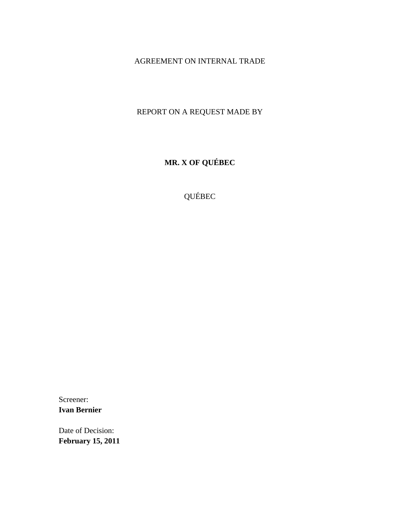# AGREEMENT ON INTERNAL TRADE

# REPORT ON A REQUEST MADE BY

**MR. X OF QUÉBEC** 

QUÉBEC

Screener: **Ivan Bernier** 

Date of Decision: **February 15, 2011**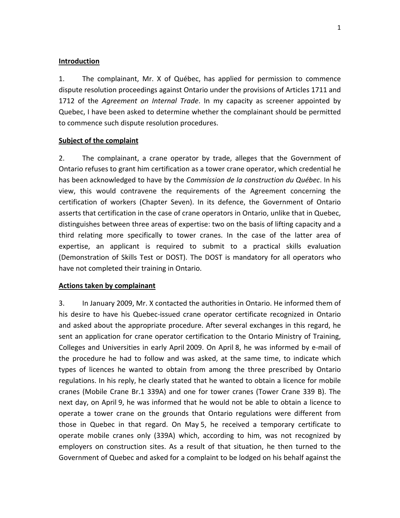#### **Introduction**

1. The complainant, Mr. X of Québec, has applied for permission to commence dispute resolution proceedings against Ontario under the provisions of Articles 1711 and 1712 of the *Agreement on Internal Trade*. In my capacity as screener appointed by Quebec, I have been asked to determine whether the complainant should be permitted to commence such dispute resolution procedures.

#### **Subject of the complaint**

2. The complainant, a crane operator by trade, alleges that the Government of Ontario refuses to grant him certification as a tower crane operator, which credential he has been acknowledged to have by the *Commission de la construction du Québec*. In his view, this would contravene the requirements of the Agreement concerning the certification of workers (Chapter Seven). In its defence, the Government of Ontario asserts that certification in the case of crane operators in Ontario, unlike that in Quebec, distinguishes between three areas of expertise: two on the basis of lifting capacity and a third relating more specifically to tower cranes. In the case of the latter area of expertise, an applicant is required to submit to a practical skills evaluation (Demonstration of Skills Test or DOST). The DOST is mandatory for all operators who have not completed their training in Ontario.

#### **Actions taken by complainant**

3. In January 2009, Mr. X contacted the authorities in Ontario. He informed them of his desire to have his Quebec‐issued crane operator certificate recognized in Ontario and asked about the appropriate procedure. After several exchanges in this regard, he sent an application for crane operator certification to the Ontario Ministry of Training, Colleges and Universities in early April 2009. On April 8, he was informed by e‐mail of the procedure he had to follow and was asked, at the same time, to indicate which types of licences he wanted to obtain from among the three prescribed by Ontario regulations. In his reply, he clearly stated that he wanted to obtain a licence for mobile cranes (Mobile Crane Br.1 339A) and one for tower cranes (Tower Crane 339 B). The next day, on April 9, he was informed that he would not be able to obtain a licence to operate a tower crane on the grounds that Ontario regulations were different from those in Quebec in that regard. On May 5, he received a temporary certificate to operate mobile cranes only (339A) which, according to him, was not recognized by employers on construction sites. As a result of that situation, he then turned to the Government of Quebec and asked for a complaint to be lodged on his behalf against the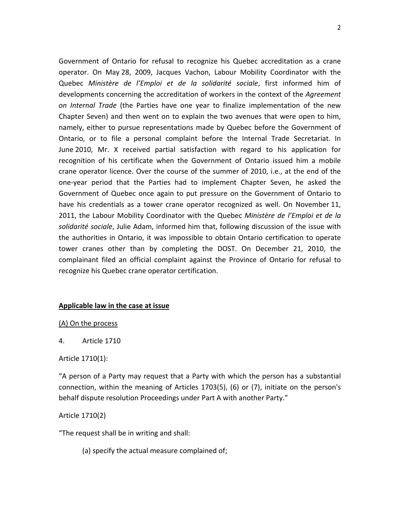Government of Ontario for refusal to recognize his Quebec accreditation as a crane operator. On May 28, 2009, Jacques Vachon, Labour Mobility Coordinator with the Quebec *Ministère de l'Emploi et de la solidarité sociale*, first informed him of developments concerning the accreditation of workers in the context of the *Agreement on Internal Trade* (the Parties have one year to finalize implementation of the new Chapter Seven) and then went on to explain the two avenues that were open to him, namely, either to pursue representations made by Quebec before the Government of Ontario, or to file a personal complaint before the Internal Trade Secretariat. In June 2010, Mr. X received partial satisfaction with regard to his application for recognition of his certificate when the Government of Ontario issued him a mobile crane operator licence. Over the course of the summer of 2010, i.e., at the end of the one‐year period that the Parties had to implement Chapter Seven, he asked the Government of Quebec once again to put pressure on the Government of Ontario to have his credentials as a tower crane operator recognized as well. On November 11, 2011, the Labour Mobility Coordinator with the Quebec *Ministère de l'Emploi et de la solidarité sociale*, Julie Adam, informed him that, following discussion of the issue with the authorities in Ontario, it was impossible to obtain Ontario certification to operate tower cranes other than by completing the DOST. On December 21, 2010, the complainant filed an official complaint against the Province of Ontario for refusal to recognize his Quebec crane operator certification.

## **Applicable law in the case at issue**

(A) On the process

4. Article 1710

Article 1710(1):

"A person of a Party may request that a Party with which the person has a substantial connection, within the meaning of Articles 1703(5), (6) or (7), initiate on the person's behalf dispute resolution Proceedings under Part A with another Party."

Article 1710(2)

"The request shall be in writing and shall:

(a) specify the actual measure complained of;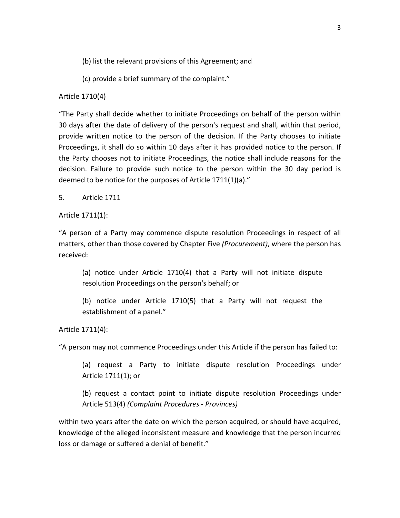- (b) list the relevant provisions of this Agreement; and
- (c) provide a brief summary of the complaint."

#### Article 1710(4)

"The Party shall decide whether to initiate Proceedings on behalf of the person within 30 days after the date of delivery of the person's request and shall, within that period, provide written notice to the person of the decision. If the Party chooses to initiate Proceedings, it shall do so within 10 days after it has provided notice to the person. If the Party chooses not to initiate Proceedings, the notice shall include reasons for the decision. Failure to provide such notice to the person within the 30 day period is deemed to be notice for the purposes of Article 1711(1)(a)."

5. Article 1711

Article 1711(1):

"A person of a Party may commence dispute resolution Proceedings in respect of all matters, other than those covered by Chapter Five *(Procurement)*, where the person has received:

(a) notice under Article 1710(4) that a Party will not initiate dispute resolution Proceedings on the person's behalf; or

(b) notice under Article 1710(5) that a Party will not request the establishment of a panel."

Article 1711(4):

"A person may not commence Proceedings under this Article if the person has failed to:

(a) request a Party to initiate dispute resolution Proceedings under Article 1711(1); or

(b) request a contact point to initiate dispute resolution Proceedings under Article 513(4) *(Complaint Procedures ‐ Provinces)*

within two years after the date on which the person acquired, or should have acquired, knowledge of the alleged inconsistent measure and knowledge that the person incurred loss or damage or suffered a denial of benefit."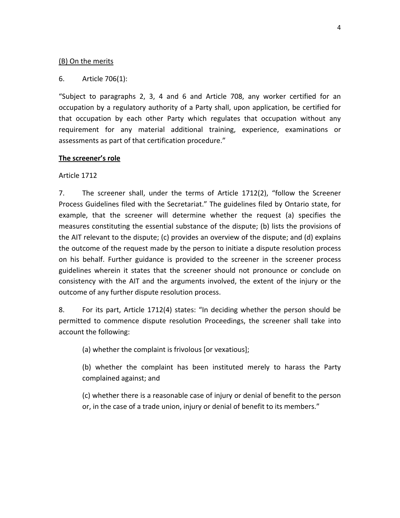## (B) On the merits

## 6. Article 706(1):

"Subject to paragraphs 2, 3, 4 and 6 and Article 708, any worker certified for an occupation by a regulatory authority of a Party shall, upon application, be certified for that occupation by each other Party which regulates that occupation without any requirement for any material additional training, experience, examinations or assessments as part of that certification procedure."

#### **The screener's role**

## Article 1712

7. The screener shall, under the terms of Article 1712(2), "follow the Screener Process Guidelines filed with the Secretariat." The guidelines filed by Ontario state, for example, that the screener will determine whether the request (a) specifies the measures constituting the essential substance of the dispute; (b) lists the provisions of the AIT relevant to the dispute; (c) provides an overview of the dispute; and (d) explains the outcome of the request made by the person to initiate a dispute resolution process on his behalf. Further guidance is provided to the screener in the screener process guidelines wherein it states that the screener should not pronounce or conclude on consistency with the AIT and the arguments involved, the extent of the injury or the outcome of any further dispute resolution process.

8. For its part, Article 1712(4) states: "In deciding whether the person should be permitted to commence dispute resolution Proceedings, the screener shall take into account the following:

(a) whether the complaint is frivolous [or vexatious];

(b) whether the complaint has been instituted merely to harass the Party complained against; and

(c) whether there is a reasonable case of injury or denial of benefit to the person or, in the case of a trade union, injury or denial of benefit to its members."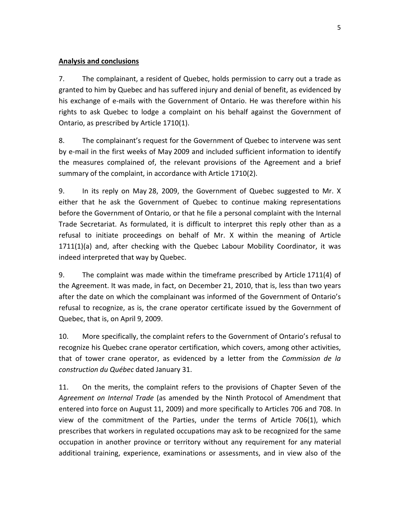# **Analysis and conclusions**

7. The complainant, a resident of Quebec, holds permission to carry out a trade as granted to him by Quebec and has suffered injury and denial of benefit, as evidenced by his exchange of e‐mails with the Government of Ontario. He was therefore within his rights to ask Quebec to lodge a complaint on his behalf against the Government of Ontario, as prescribed by Article 1710(1).

8. The complainant's request for the Government of Quebec to intervene was sent by e‐mail in the first weeks of May 2009 and included sufficient information to identify the measures complained of, the relevant provisions of the Agreement and a brief summary of the complaint, in accordance with Article 1710(2).

9. In its reply on May 28, 2009, the Government of Quebec suggested to Mr. X either that he ask the Government of Quebec to continue making representations before the Government of Ontario, or that he file a personal complaint with the Internal Trade Secretariat. As formulated, it is difficult to interpret this reply other than as a refusal to initiate proceedings on behalf of Mr. X within the meaning of Article 1711(1)(a) and, after checking with the Quebec Labour Mobility Coordinator, it was indeed interpreted that way by Quebec.

9. The complaint was made within the timeframe prescribed by Article 1711(4) of the Agreement. It was made, in fact, on December 21, 2010, that is, less than two years after the date on which the complainant was informed of the Government of Ontario's refusal to recognize, as is, the crane operator certificate issued by the Government of Quebec, that is, on April 9, 2009.

10. More specifically, the complaint refers to the Government of Ontario's refusal to recognize his Quebec crane operator certification, which covers, among other activities, that of tower crane operator, as evidenced by a letter from the *Commission de la construction du Québec* dated January 31.

11. On the merits, the complaint refers to the provisions of Chapter Seven of the *Agreement on Internal Trade* (as amended by the Ninth Protocol of Amendment that entered into force on August 11, 2009) and more specifically to Articles 706 and 708. In view of the commitment of the Parties, under the terms of Article 706(1), which prescribes that workers in regulated occupations may ask to be recognized for the same occupation in another province or territory without any requirement for any material additional training, experience, examinations or assessments, and in view also of the